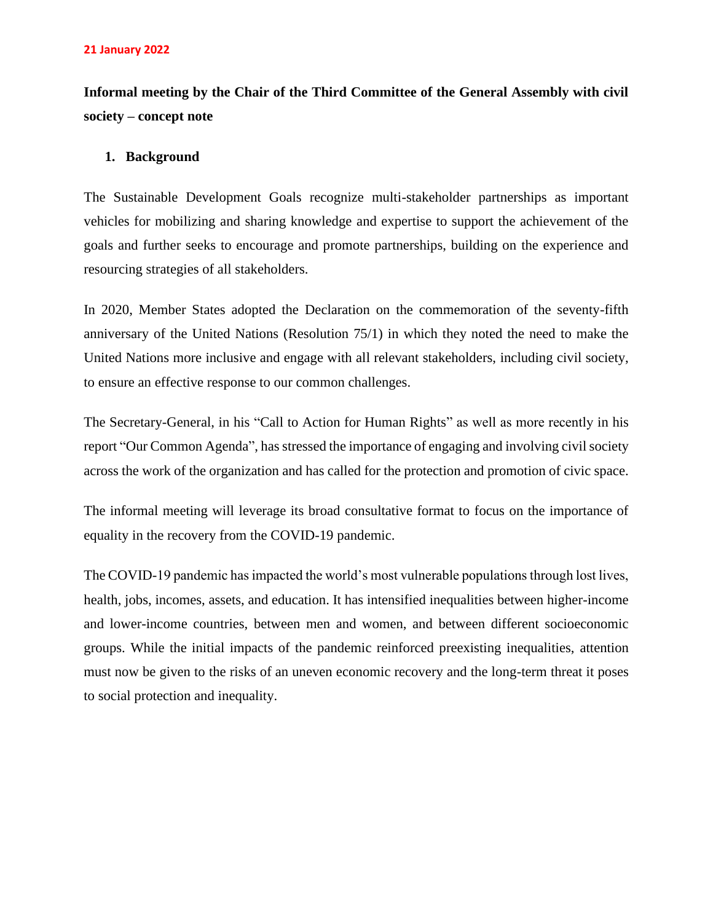**Informal meeting by the Chair of the Third Committee of the General Assembly with civil society – concept note**

# **1. Background**

The Sustainable Development Goals recognize multi-stakeholder partnerships as important vehicles for mobilizing and sharing knowledge and expertise to support the achievement of the goals and further seeks to encourage and promote partnerships, building on the experience and resourcing strategies of all stakeholders.

In 2020, Member States adopted the Declaration on the commemoration of the seventy-fifth anniversary of the United Nations (Resolution 75/1) in which they noted the need to make the United Nations more inclusive and engage with all relevant stakeholders, including civil society, to ensure an effective response to our common challenges.

The Secretary-General, in his "Call to Action for Human Rights" as well as more recently in his report "Our Common Agenda", has stressed the importance of engaging and involving civil society across the work of the organization and has called for the protection and promotion of civic space.

The informal meeting will leverage its broad consultative format to focus on the importance of equality in the recovery from the COVID-19 pandemic.

The COVID-19 pandemic has impacted the world's most vulnerable populations through lost lives, health, jobs, incomes, assets, and education. It has intensified inequalities between higher-income and lower-income countries, between men and women, and between different socioeconomic groups. While the initial impacts of the pandemic reinforced preexisting inequalities, attention must now be given to the risks of an uneven economic recovery and the long-term threat it poses to social protection and inequality.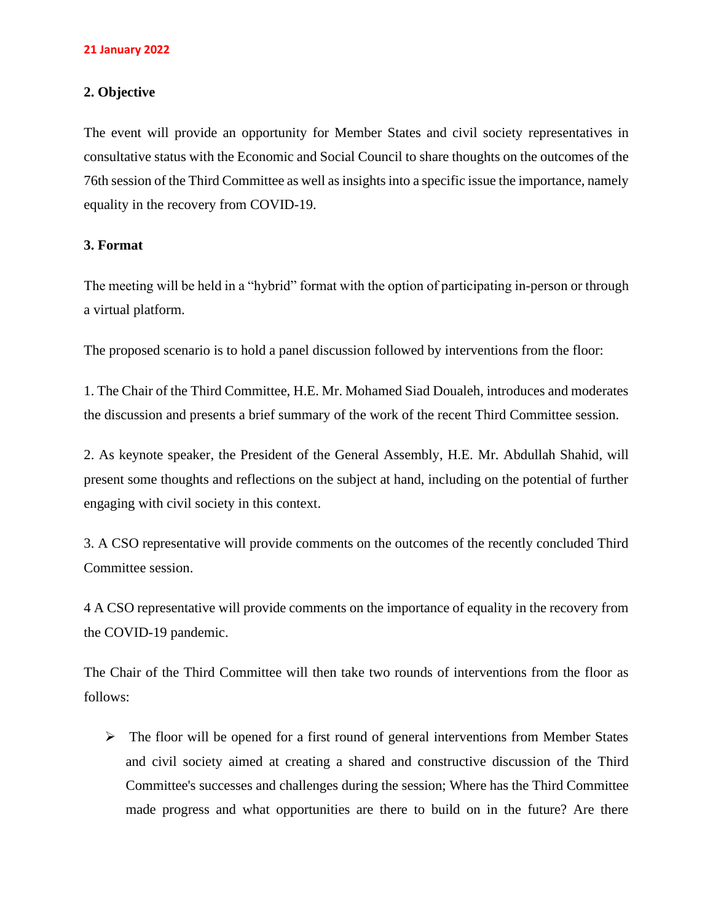#### **21 January 2022**

## **2. Objective**

The event will provide an opportunity for Member States and civil society representatives in consultative status with the Economic and Social Council to share thoughts on the outcomes of the 76th session of the Third Committee as well as insights into a specific issue the importance, namely equality in the recovery from COVID-19.

## **3. Format**

The meeting will be held in a "hybrid" format with the option of participating in-person or through a virtual platform.

The proposed scenario is to hold a panel discussion followed by interventions from the floor:

1. The Chair of the Third Committee, H.E. Mr. Mohamed Siad Doualeh, introduces and moderates the discussion and presents a brief summary of the work of the recent Third Committee session.

2. As keynote speaker, the President of the General Assembly, H.E. Mr. Abdullah Shahid, will present some thoughts and reflections on the subject at hand, including on the potential of further engaging with civil society in this context.

3. A CSO representative will provide comments on the outcomes of the recently concluded Third Committee session.

4 A CSO representative will provide comments on the importance of equality in the recovery from the COVID-19 pandemic.

The Chair of the Third Committee will then take two rounds of interventions from the floor as follows:

➢ The floor will be opened for a first round of general interventions from Member States and civil society aimed at creating a shared and constructive discussion of the Third Committee's successes and challenges during the session; Where has the Third Committee made progress and what opportunities are there to build on in the future? Are there